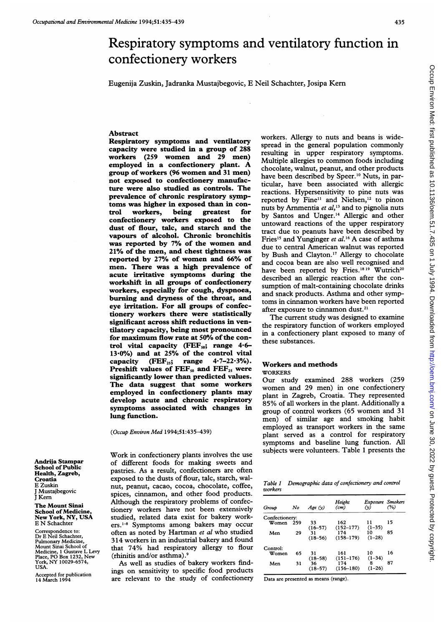# Respiratory symptoms and ventilatory function in confectionery workers

Eugenija Zuskin, Jadranka Mustajbegovic, E Neil Schachter, Josipa Kern

# Abstract

Respiratory symptoms and ventilatory capacity were studied in a group of 288 workers (259 women and 29 men) employed in <sup>a</sup> confectionery plant. A group of workers (96 women and <sup>31</sup> men) not exposed to confectionery manufacture were also studied as controls. The prevalence of chronic respiratory symptoms was higher in exposed than in control workers, being greatest for confectionery workers exposed to the dust of flour, talc, and starch and the vapours of alcohol. Chronic bronchitis was reported by 7% of the women and 21% of the men, and chest tightness was reported by 27% of women and 66% of men. There was a high prevalence of acute irritative symptoms during the workshift in all groups of confectionery workers, especially for cough, dyspnoea, burning and dryness of the throat, and eye irritation. For all groups of confectionery workers there were statistically significant across shift reductions in ventilatory capacity, being most pronounced for maximum flow rate at 50% of the control vital capacity (FEF $_{50}$ ; range 4.6-13.0%) and at 25% of the control vital<br>capacity (FEF<sub>25</sub>; range 4.7–22.3%). capacity  $(FEF<sub>25</sub>; range)$ Preshift values of  $FEF_{50}$  and  $FEF_{25}$  were significantly lower than predicted values. The data suggest that some workers employed in confectionery plants may develop acute and chronic respiratory symptoms associated with changes in lung function.

(Occup Environ Med 1994;51:435-439)

Andrija Stampar School of Public Health, Zagreb, Croatia E Zuskin J Mustajbegovic J Kern

The Mount Sinai School of Medicine New York, NY, USA E N Schachter

Correspondence to: Dr E Neil Schachter, Pulmonary Medicine, Mount Sinai School of Medicine, <sup>1</sup> Gustave L Levy Place, PO Box 1232, New York, NY 10029-6574, USA.

Accepted for publication 14 March 1994

Work in confectionery plants involves the use of different foods for making sweets and pastries. As a result, confectioners are often exposed to the dusts of flour, talc, starch, walnut, peanut, cacao, cocoa, chocolate, coffee, spices, cinnamon, and other food products. Although the respiratory problems of confectionery workers have not been extensively studied, related data exist for bakery workers.<sup>1-8</sup> Symptoms among bakers may occur often as noted by Hartman et al who studied 314 workers in an industrial bakery and found that 74% had respiratory allergy to flour (rhinitis and/or asthma).9

As well as studies of bakery workers findings on sensitivity to specific food products are relevant to the study of confectionery workers. Allergy to nuts and beans is widespread in the general population commonly resulting in upper respiratory symptoms. Multiple allergies to common foods including chocolate, walnut, peanut, and other products have been described by Speer.<sup>10</sup> Nuts, in particular, have been associated with allergic reactions. Hypersensitivity to pine nuts was reported by Fine<sup>11</sup> and Nielsen,<sup>12</sup> to pinon nuts by Arnmentia et  $al$ ,<sup>13</sup> and to pignolia nuts by Santos and Unger.'4 Allergic and other untoward reactions of the upper respiratory tract due to peanuts have been described by Fries<sup>15</sup> and Yunginger et al.<sup>16</sup> A case of asthma due to central American walnut was reported by Bush and Clayton.'7 Allergy to chocolate and cocoa bean are also well recognised and have been reported by Fries.<sup>1819</sup> Wutrich<sup>20</sup> described an allergic reaction after the consumption of malt-containing chocolate drinks and snack products. Asthma and other symptoms in cinnamon workers have been reported after exposure to cinnamon dust.<sup>21</sup>

The current study was designed to examine the respiratory function of workers employed in a confectionery plant exposed to many of these substances.

# Workers and methods

### WORKERS

Our study examined 288 workers (259 women and 29 men) in one confectionery plant in Zagreb, Croatia. They represented 85% of all workers in the plant. Additionally <sup>a</sup> group of control workers (65 women and 31 men) of similar age and smoking habit employed as transport workers in the same plant served as a control for respiratory symptoms and baseline lung function. All subjects were volunteers. Table <sup>1</sup> presents the

|         | Table 1 Demographic data of confectionery and control |
|---------|-------------------------------------------------------|
| workers |                                                       |

| Group          | No  | $A$ ge $(v)$      | Height<br>$\left( cm\right)$ | <b>Exposure</b> Smokers<br>(v) | (%) |
|----------------|-----|-------------------|------------------------------|--------------------------------|-----|
| Confectionery: |     |                   |                              |                                |     |
| Women          | 259 | 33<br>$(16 - 57)$ | 162<br>$(152 - 177)$         | 11<br>$(1-35)$                 | 15  |
| Men            | 29  | 31<br>$(18 - 56)$ | 174<br>$(158 - 179)$         | 10<br>$(1-28)$                 | 85  |
| Control:       |     |                   |                              |                                |     |
| Women          | 65  | 31<br>$(18 - 58)$ | 161<br>$(151 - 176)$         | 10<br>$(1-34)$                 | 16  |
| Men            | 31  | 36<br>$(18 - 57)$ | 174<br>$(156 - 180)$         | я<br>$(1-26)$                  | 87  |

Data are presented as means (range).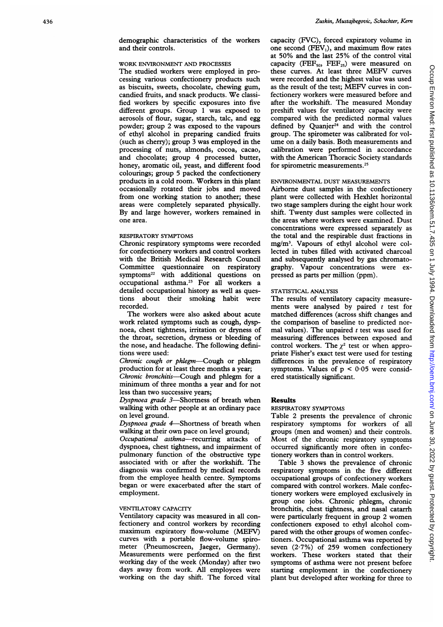# WORK ENVIRONMENT AND PROCESSES

The studied workers were employed in processing various confectionery products such as biscuits, sweets, chocolate, chewing gum, candied fruits, and snack products. We classified workers by specific exposures into five different groups. Group <sup>1</sup> was exposed to aerosols of flour, sugar, starch, talc, and egg powder; group 2 was exposed to the vapours of ethyl alcohol in preparing candied fruits (such as cherry); group 3 was employed in the processing of nuts, almonds, cocoa, cacao, and chocolate; group 4 processed butter, honey, aromatic oil, yeast, and different food colourings; group 5 packed the confectionery products in a cold room. Workers in this plant occasionally rotated their jobs and moved from one working station to another; these areas were completely separated physically. By and large however, workers remained in one area.

#### RESPIRATORY SYMPTOMS

Chronic respiratory symptoms were recorded for confectionery workers and control workers with the British Medical Research Council Committee questionnaire on respiratory symptoms<sup>22</sup> with additional questions on occupational asthma.<sup>23</sup> For all workers a detailed occupational history as well as questions about their smoking habit were recorded.

The workers were also asked about acute work related symptoms such as cough, dyspnoea, chest tightness, irritation or dryness of the throat, secretion, dryness or bleeding of the nose, and headache. The following definitions were used:

Chronic cough or phlegm-Cough or phlegm production for at least three months a year;

Chronic bronchitis—Cough and phlegm for a minimum of three months a year and for not less than two successive years;

Dyspnoea grade 3-Shortness of breath when walking with other people at an ordinary pace on level ground.

Dyspnoea grade 4-Shortness of breath when walking at their own pace on level ground;

Occupational asthma-recurring attacks of dyspnoea, chest tightness, and impairment of pulmonary function of the obstructive type associated with or after the workshift. The diagnosis was confirmed by medical records from the employee health centre. Symptoms began or were exacerbated after the start of employment.

# VENTILATORY CAPACITY

Ventilatory capacity was measured in all confectionery and control workers by recording maximum expiratory flow-volume (MEFV) curves with a portable flow-volume spirometer (Pneumoscreen, Jaeger, Germany). Measurements were performed on the first working day of the week (Monday) after two days away from work. All employees were working on the day shift. The forced vital capacity (FVC), forced expiratory volume in one second  $(FEV_1)$ , and maximum flow rates at 50% and the last 25% of the control vital capacity (FEF<sub>50</sub>, FEF<sub>25</sub>) were measured on these curves. At least three MEFV curves were recorded and the highest value was used as the result of the test; MEFV curves in confectionery workers were measured before and after the workshift. The measured Monday preshift values for ventilatory capacity were compared with the predicted normal values defined by Quanjer $^{24}$  and with the control group. The spirometer was calibrated for volume on <sup>a</sup> daily basis. Both measurements and calibration were performed in accordance with the American Thoracic Society standards for spirometric measurements.25

#### ENVIRONMENTAL DUST MEASUREMENTS

Airborne dust samples in the confectionery plant were collected with Hexhlet horizontal two stage samplers during the eight hour work shift. Twenty dust samples were collected in the areas where workers were examined. Dust concentrations were expressed separately as the total and the respirable dust fractions in mg/M3. Vapours of ethyl alcohol were collected in tubes filled with activated charcoal and subsequently analysed by gas chromatography. Vapour concentrations were expressed as parts per million (ppm).

### STATISTICAL ANALYSIS

The results of ventilatory capacity measurements were analysed by paired  $t$  test for matched differences (across shift changes and the comparison of baseline to predicted normal values). The unpaired  $t$  test was used for measuring differences between exposed and control workers. The  $\chi^2$  test or when appropriate Fisher's exact test were used for testing differences in the prevalence of respiratory symptoms. Values of  $p < 0.05$  were considered statistically significant.

#### Results

#### RESPIRATORY SYMPTOMS

Table 2 presents the prevalence of chronic respiratory symptoms for workers of all groups (men and women) and their controls. Most of the chronic respiratory symptoms occurred significantly more often in confectionery workers than in control workers.

Table 3 shows the prevalence of chronic respiratory symptoms in the five different occupational groups of confectionery workers compared with control workers. Male confectionery workers were employed exclusively in group one jobs. Chronic phlegm, chronic bronchitis, chest tightness, and nasal catarrh were particularly frequent in group 2 women confectioners exposed to ethyl alcohol compared with the other groups of women confectioners. Occupational asthma was reported by seven  $(2.7%)$  of 259 women confectionery workers. These workers stated that their symptoms of asthma were not present before starting employment in the confectionery plant but developed after working for three to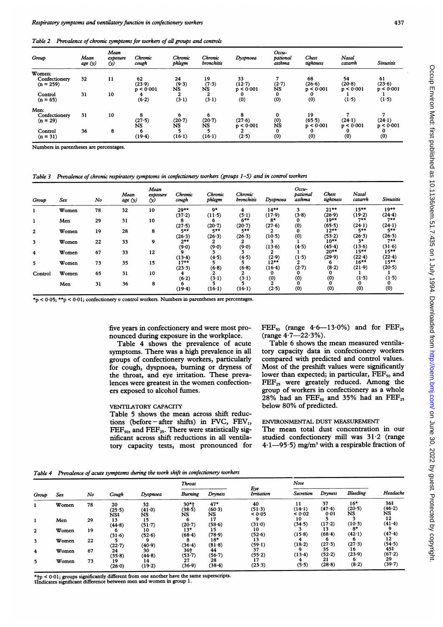Table 2 Prevalence of chronic symptoms for workers of all groups and controls

| Group                                  | Mean<br>age (y) | Mean<br>exposure<br>$\omega$ | Chronic<br>cough          | Chronic<br>phlegm       | Chronic<br><b>bronchitis</b> | Dyspnoea                    | Occu-<br>pational<br>asthma | Chest<br>tightness        | Nasal<br>catarrh          | <b>Sinusitis</b>          |
|----------------------------------------|-----------------|------------------------------|---------------------------|-------------------------|------------------------------|-----------------------------|-----------------------------|---------------------------|---------------------------|---------------------------|
| Women:<br>Confectionery<br>$(n = 259)$ | 32              | 11                           | 62<br>(23.9)<br>p < 0.001 | 24<br>(9.3)<br>NS       | 19<br>(7.3)<br>NS            | 33<br>$(12-7)$<br>p < 0.001 | $(2-7)$<br><b>NS</b>        | 68<br>(26.6)<br>p < 0.001 | 54<br>(20.8)<br>p < 0.001 | 61<br>(23.6)<br>p < 0.001 |
| Control<br>$(n = 65)$                  | 31              | 10                           | 4<br>(6.2)                | $\overline{2}$<br>(3.1) | 2<br>(3.1)                   | 0<br>(0)                    | $\mathbf 0$<br>(0)          | 0<br>(0)                  | (1.5)                     | (1.5)                     |
| Men:                                   |                 |                              |                           |                         |                              |                             |                             |                           |                           |                           |
| Confectionery<br>$(n = 29)$            | 31              | 10                           | 8<br>(27.5)<br><b>NS</b>  | 6<br>(20.7)<br>ŃS       | 6<br>(20.7)<br><b>NS</b>     | 8<br>(27.6)<br>p < 0.001    | 0<br>(0)<br>ŃŚ              | 19<br>(65.5)<br>p < 0.001 | (24.1)<br>p < 0.001       | (24.1)<br>p < 0.001       |
| Control<br>$(n = 31)$                  | 36              | 8                            | 6<br>(19.4)               | (16.1)                  | (16.1)                       | 2<br>$(2-5)$                | $\bf{0}$<br>(0)             | 0<br>(0)                  | (0)                       | 0<br>(0)                  |

Numbers in parentheses are percentages.

Table 3 Prevalence of chronic respiratory symptoms in confectionery workers (groups 1-5) and in control workers

| Group          | Sex   | No | Mean<br>age (y) | Mean<br>exposure<br>$\omega$ | Chronic<br>cough | Chronic<br>phlegm | Chronic<br>bronchitis | Dyspnoea           | Occu-<br>pational<br>asthma | Chest<br>tightness | Nasal<br>catarrh  | <b>Sinusitis</b>  |
|----------------|-------|----|-----------------|------------------------------|------------------|-------------------|-----------------------|--------------------|-----------------------------|--------------------|-------------------|-------------------|
|                | Women | 78 | 32              | 10                           | $29***$          | 9*                | 4                     | $14***$            | 3                           | $21**$             | $15***$           | $19**$            |
|                | Men   | 29 | 31              | 10                           | (37.2)           | (11.5)            | (5.1)<br>$6***$       | (17.9)<br>8*       | (3.8)<br>0                  | (26.9)<br>19**     | (19.2)<br>$7**$   | (24.4)<br>$7**$   |
| $\overline{2}$ | Women | 19 | 28              | 8                            | (27.5)<br>$5***$ | (20.7)<br>$5***$  | (20.7)<br>5**         | (27.6)             | $\left( 0\right)$<br>0      | (65.5)<br>12**     | (24.1)<br>$5***$  | (24.1)<br>5**     |
| 3              | Women | 22 | 33              | 9                            | (26.3)<br>$2***$ | (26.3)<br>2       | (26.3)                | (10.5)             | (0)                         | (53.2)<br>$10***$  | (26.3)<br>$3*$    | (26.3)<br>$7**$   |
|                | Women | 67 | 33              | 12                           | (9.0)            | (9.0)             | (9.0)                 | (13.6)             | (4.5)                       | (45.4)<br>$20**$   | (13.6)<br>$15***$ | (31.6)<br>$15***$ |
| 4              |       |    |                 |                              | (13.4)           | (4.5)             | (4.5)                 | (2.9)              | (1.5)                       | (29.9)             | (22.4)            | (22.4)            |
| 5              | Women | 73 | 35              | 15                           | $17**$<br>(23.3) | (6.8)             | (6.8)                 | $12**$<br>$(16-4)$ | $(2-7)$                     | o<br>(8.2)         | $16***$<br>(21.9) | $15***$<br>(20.5) |
| Control        | Women | 65 | 31              | 10                           | 4.<br>(6.2)      | (3.1)             | (3.1)                 | (0)                | (0)                         | $^{(0)}$           | (1.5)             | (1.5)             |
|                | Men   | 31 | 36              | 8                            | (19.4)           | (16.1)            | (16.1)                | (2.5)              | (0)                         | (0)                | (0)               | (0)               |

 $\star_p$  < 0.05;  $\star\star_p$  < 0.01; confectionery v control workers. Numbers in parentheses are percentages.

nounced during exposure in the workplace. (range 4.7–22.3%).<br>Table 4 shows the prevalence of acute Table 6 shows the mean measured ventila-

symptoms. There was a high prevalence in all groups of confectionery workers, particularly for cough, dyspnoea, burning or dryness of Most of the preshift values were significantly the throat, and eye irritation. These preva-<br>lower than expected; in particular,  $FEF_{50}$  and the throat, and eye irritation. These prevalences were greatest in the women confection- $\text{FEF}_{25}$  were greately reduced. Among the ers exposed to alcohol fumes. group of workers in confectionery as <sup>a</sup> whole

#### VENTILATORY CAPACITY

Table 5 shows the mean across shift reductions (before – after shifts) in FVC,  $FEV_1$ , ENVIRONMENTAL DUST MEASUREMENT<br>FEE<sub>20</sub> and FEE<sub>22</sub>. There were statistically sig-<br>The mean total dust concentration in our FEF<sub>50</sub>, and FEF<sub>25</sub>. There were statistically sig-<br>nificant across shift reductions in all ventila-<br>studied confectionery mill was  $31.2$  (range nificant across shift reductions in all ventila-<br>tordinated confectionery mill was  $31.2$  (range<br>tory capacity tests, most pronounced for  $4.1 \rightarrow 95.5$ ) mg/m<sup>3</sup> with a respirable fraction of tory capacity tests, most pronounced for

five years in confectionery and were most pro-<br>nounced during exposure in the workplace. (range  $4.7$ —22.3%).

Table 4 shows the prevalence of acute Table 6 shows the mean measured ventila-<br>mptoms. There was a high prevalence in all tory capacity data in confectionery workers compared with predicted and control values. 28% had an  $\text{FEF}_{50}$  and 35% had an  $\text{FEF}_{25}$ <br>below 80% of predicted.

Table 4 Prevalence of acute symptoms during the work shift in confectionery workers

| Group          |       |    |                     |                    | <b>Throat</b>         |                              |                        | Nose                   |                      |                       |                     |
|----------------|-------|----|---------------------|--------------------|-----------------------|------------------------------|------------------------|------------------------|----------------------|-----------------------|---------------------|
|                | Sex   | No | Cough               | Dyspnoea           | <b>Burning</b>        | Dryness                      | Eye<br>Irritation      | Secretion              | Dryness              | <b>Bleeding</b>       | Headache            |
|                | Women | 78 | 20<br>(25.5)<br>NS‡ | 32<br>(41.0)<br>NS | $30*$<br>(38.5)<br>NS | $47*$<br>(60.3)<br><b>NS</b> | 40<br>(51.3)<br>< 0.05 | 11<br>(14.1)<br>< 0.02 | 37<br>(47.4)<br>0.01 | $16*$<br>(20.5)<br>NS | 36‡<br>(46.2)<br>NS |
|                | Men   | 29 | 13<br>(44.8)        | 15<br>(51.7)       | n<br>(20.7)           | 17<br>(58.6)                 | (31.0)                 | 10<br>(34.5)           | (17.2)               | $(10-3)$              | 12<br>(41.4)        |
| $\overline{2}$ | Women | 19 | (31.6)              | 10<br>(52.6)       | 13*<br>(68.4)         | 15<br>(78.9)                 | 10<br>(52.6)           | (15.8)                 | 13<br>(68.4)         | 8*<br>(42.1)          | (47.4)              |
| 3              | Women | 22 | (22.7)              | (40.9)             | (36.4)                | $18*$<br>(81.8)              | 13<br>(59.1)           | (18.2)                 | (27.3)               | (27.3)                | 12<br>(54.5)        |
| 4              | Women | 67 | 24<br>(35.8)        | 30<br>(44.8)       | 36†<br>(53.7)         | 44<br>(56.7)                 | 37<br>(55.2)           | (13.4)                 | 35<br>(52.2)         | 16<br>(23.9)          | 45‡<br>(67.2)       |
| 5              | Women | 73 | 19<br>(26.0)        | 14<br>(19.2)       | 27<br>(36.9)          | 28<br>(38.4)                 | (23.3)                 | (5.5)                  | 21<br>(28.8)         | (8.2)                 | 29<br>(39.7)        |

\*†p < 0·01; groups significantly different from one another have the same superscripts.<br>‡Indicates significant difference between men and women in group 1.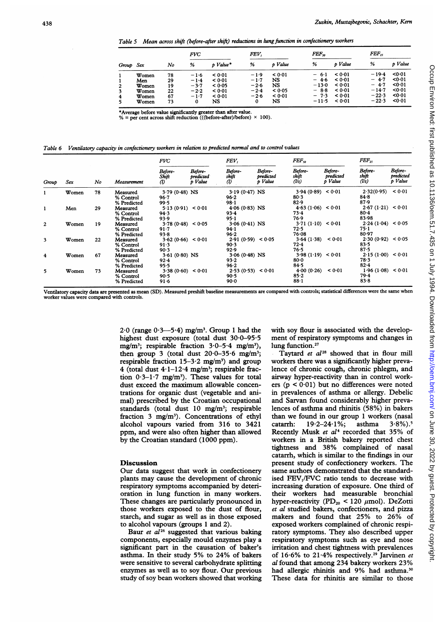Table 5 Mean across shift (before-after shift) reductions in lung function in confectionery workers

| Group Sex |       |    | <b>FVC</b> |          | FEV.   |         | $FEF_{so}$ |         | FEF <sub>x</sub> |         |
|-----------|-------|----|------------|----------|--------|---------|------------|---------|------------------|---------|
|           |       | No | %          | p Value* | %      | p Value | %          | p Value | %                | p Value |
|           | Women | 78 | $-1.6$     | < 0.01   | $-1.9$ | < 0.01  | $-6.1$     | < 0.01  | $-19.4$          | 0.01    |
|           | Men   | 29 | $-1.4$     | < 0.01   | $-1.7$ | NS      | $-4.6$     | < 0.01  | $-4.7$           | <0.01   |
| 2         | Women | 19 | $-3.7$     | < 0.05   | $-2.6$ | NS      | $-13.0$    | 0.01    | $-4.7$           | <0.01   |
| 3         | Women | 22 | $-2.2$     | < 0.01   | $-2.4$ | < 0.05  | $-8.8$     | < 0.01  | $-14.7$          | 0.01    |
| 4         | Women | 67 | $-1.7$     | < 0.01   | $-2.6$ | < 0.01  | $-7.3$     | < 0.01  | $-22.3$          | <0.01   |
| 5.        | Women | 73 | 0          | NS       | 0      | NS      | $-11.5$    | < 0.01  | $-22.3$          | 0.01    |

 $\text{``Average before value significantly greater than after value.}$ % = per cent across shift reduction (((before-after)/before)  $\times$  100).

Table 6 Ventilatory capacity in confectionery workers in relation to predicted normal and to control values

| Group        |       | No |                                      | <b>FVC</b>                                |                                 | FEV,                                    |                                 | $FEF_{50}$                          |                                 | $FEF_{25}$                             |                                 |  |
|--------------|-------|----|--------------------------------------|-------------------------------------------|---------------------------------|-----------------------------------------|---------------------------------|-------------------------------------|---------------------------------|----------------------------------------|---------------------------------|--|
|              | Sex   |    | Measurement                          | Before-<br>Shift<br>$\cal{O}$             | Before-<br>predicted<br>p Value | Before-<br>shift<br>$\omega$            | Before-<br>predicted<br>p Value | Before-<br>shift<br>(l/s)           | Before-<br>predicted<br>p Value | Before-<br>shift<br>(l/s)              | Before-<br>predicted<br>p Value |  |
| 1            | Women | 78 | Measured<br>% Control<br>% Predicted | $3.79(0.48)$ NS<br>$96 - 7$<br>99.5       |                                 | $3.19(0.47)$ NS<br>96.2<br>$98-1$       |                                 | 3.94(0.89) < 0.01<br>80.3<br>82.9   |                                 | 2.32(0.95)<br>84.8<br>87.9             | < 0.01                          |  |
| 1            | Men   | 29 | Measured<br>% Control<br>% Predicted | 5.13(0.91) < 0.01<br>94.3<br>93.9         |                                 | $4.06(0.83)$ NS<br>$93 - 4$<br>95.1     |                                 | 4.63(1.06) < 0.01<br>73.4<br>76.9   |                                 | 2.67(1.21) < 0.01<br>$80 - 4$<br>83.98 |                                 |  |
| $\mathbf{2}$ | Women | 19 | Measured<br>% Control<br>% Predicted | 3.78(0.48) < 0.05<br>$91 - 7$<br>$93 - 8$ |                                 | $3.06(0.41)$ NS<br>94.1<br>96.2         |                                 | 3.71(1.10)<br>72.5<br>76.08         | 0.01                            | 2.24(1.04) < 0.05<br>75-1<br>80.97     |                                 |  |
| 3            | Women | 22 | Measured<br>% Control<br>% Predicted | 3.62(0.66) < 0.01<br>91.3<br>90.3         |                                 | 2.91(0.59) < 0.05<br>90.3<br>92.9       |                                 | 3.64(1.38)<br>72.4<br>$76-5$        | < 0.01                          | 2.30(0.92) < 0.05<br>83.5<br>87.5      |                                 |  |
| 4            | Women | 67 | Measured<br>% Control<br>% Predicted | $3.61(0.80)$ NS<br>$92 - 4$<br>95.5       |                                 | $3.06(0.48)$ NS<br>$93 - 2$<br>$96 - 2$ |                                 | 3.98(1.19) < 0.01<br>$80-0$<br>84.5 |                                 | 2.15(1.00) < 0.01<br>78∙3<br>$82 - 4$  |                                 |  |
| 5            | Women | 73 | Measured<br>% Control<br>% Predicted | 3.38(0.60) < 0.01<br>90.5<br>91.6         |                                 | 2.53(0.53) < 0.01<br>90.5<br>90.0       |                                 | 4.00(0.26)<br>85.2<br>$88 - 1$      | < 0.01                          | 1.96(1.08) < 0.01<br>79.4<br>83.8      |                                 |  |

Ventilatory capacity data are presented as mean (SD). Measured preshift baseline measurements are compared with controls; statistical differences were the same when worker values were compared with controls.

> $2.0$  (range  $0.3-5.4$ ) mg/m<sup>3</sup>. Group 1 had the highest dust exposure (total dust 30.0-95.5) mg/m<sup>3</sup>; respirable fraction  $3.0 - 5.4$  mg/m<sup>3</sup>), then group 3 (total dust  $20.0-35.6$  mg/m<sup>3</sup>; respirable fraction  $15-3.2$  mg/m<sup>3</sup>) and group 4 (total dust  $4.1-12.4$  mg/m<sup>3</sup>; respirable fraction  $0.3-1.7$  mg/m<sup>3</sup>). These values for total dust exceed the maximum allowable concentrations for organic dust (vegetable and animal) prescribed by the Croatian occupational standards (total dust  $10$  mg/m<sup>3</sup>; respirable fraction 3 mg/m<sup>3</sup>). Concentrations of ethyl alcohol vapours varied from 316 to 3421 ppm, and were also often higher than allowed by the Croatian standard (1000 ppm).

#### **Discussion**

Our data suggest that work in confectionery plants may cause the development of chronic respiratory symptoms accompanied by deterioration in lung function in many workers. These changes are particularly pronounced in those workers exposed to the dust of flour, starch, and sugar as well as in those exposed to alcohol vapours (groups <sup>1</sup> and 2).

Baur et  $a^{126}$  suggested that various baking components, especially mould enzymes play a significant part in the causation of baker's asthma. In their study 5% to 24% of bakers were sensitive to several carbohydrate splitting enzymes as well as to soy flour. Our previous study of soy bean workers showed that working with soy flour is associated with the development of respiratory symptoms and changes in lung function.<sup>27</sup>

Taytard et al<sup>28</sup> showed that in flour mill workers there was a significantly higher prevalence of chronic cough, chronic phlegm, and airway hyper-reactivity than in control workers ( $p < 0.01$ ) but no differences were noted in prevalences of asthma or allergy. Debelic and Sarvan found considerably higher prevalences of asthma and rhinitis (58%) in bakers than we found in our group 1 workers (nasal catarrh:  $19.2-24.1\%$ ; asthma  $3.8\%$ ).<sup>5</sup> catarrh:  $19.2 - 24.1\%$ ; asthma  $3.8\%$ ).<sup>5</sup> Recently Musk et al<sup>4</sup> recorded that 35% of workers in a British bakery reported chest tightness and 38% complained of nasal catarrh, which is similar to the findings in our present study of confectionery workers. The same authors demonstrated that the standardised FEV<sub>1</sub>/FVC ratio tends to decrease with increasing duration of exposure. One third of their workers had measurable bronchial hyper-reactivity (PD<sub>20</sub> < 120  $\mu$ mol). DeZotti et al studied bakers, confectioners, and pizza makers and found that 25% to 26% of exposed workers complained of chronic respiratory symptoms. They also described upper respiratory symptoms such as eye and nose irritation and chest tightness with prevalences of 16.6% to 21.4% respectively.<sup>29</sup> Jarvinen et al found that among 234 bakery workers 23% had allergic rhinitis and 9% had asthma.<sup>30</sup> These data for rhinitis are similar to those